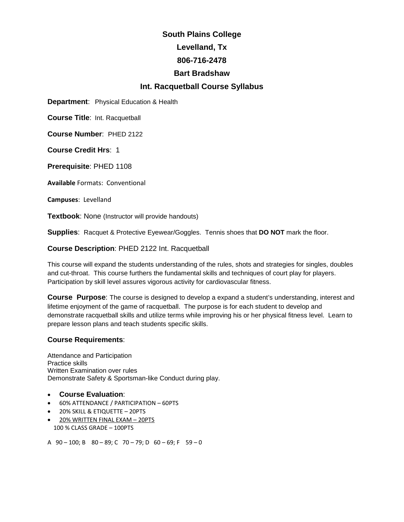# **South Plains College Levelland, Tx 806-716-2478 Bart Bradshaw Int. Racquetball Course Syllabus**

**Department**: Physical Education & Health

**Course Title**: Int. Racquetball

**Course Number**: PHED 2122

**Course Credit Hrs**: 1

**Prerequisite**: PHED 1108

**Available** Formats: Conventional

**Campuses**: Levelland

**Textbook:** None (Instructor will provide handouts)

**Supplies**: Racquet & Protective Eyewear/Goggles. Tennis shoes that **DO NOT** mark the floor.

**Course Description**: PHED 2122 Int. Racquetball

This course will expand the students understanding of the rules, shots and strategies for singles, doubles and cut-throat. This course furthers the fundamental skills and techniques of court play for players. Participation by skill level assures vigorous activity for cardiovascular fitness.

**Course Purpose**: The course is designed to develop a expand a student's understanding, interest and lifetime enjoyment of the game of racquetball. The purpose is for each student to develop and demonstrate racquetball skills and utilize terms while improving his or her physical fitness level. Learn to prepare lesson plans and teach students specific skills.

# **Course Requirements**:

Attendance and Participation Practice skills Written Examination over rules Demonstrate Safety & Sportsman-like Conduct during play.

- **Course Evaluation**:
- 60% ATTENDANCE / PARTICIPATION 60PTS
- 20% SKILL & ETIQUETTE 20PTS
- 20% WRITTEN FINAL EXAM 20PTS 100 % CLASS GRADE – 100PTS
- A  $90 100$ ; B  $80 89$ ; C  $70 79$ ; D  $60 69$ ; F  $59 0$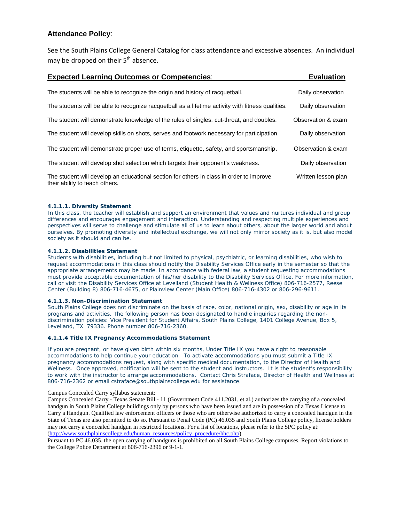# **Attendance Policy**:

See the South Plains College General Catalog for class attendance and excessive absences. An individual may be dropped on their  $5<sup>th</sup>$  absence.

| <b>Expected Learning Outcomes or Competencies:</b>                                                                        | <b>Evaluation</b>   |
|---------------------------------------------------------------------------------------------------------------------------|---------------------|
| The students will be able to recognize the origin and history of racquetball.                                             | Daily observation   |
| The students will be able to recognize racquetball as a lifetime activity with fitness qualities.                         | Daily observation   |
| The student will demonstrate knowledge of the rules of singles, cut-throat, and doubles.                                  | Observation & exam  |
| The student will develop skills on shots, serves and footwork necessary for participation.                                | Daily observation   |
| The student will demonstrate proper use of terms, etiquette, safety, and sportsmanship.                                   | Observation & exam  |
| The student will develop shot selection which targets their opponent's weakness.                                          | Daily observation   |
| The student will develop an educational section for others in class in order to improve<br>their ability to teach others. | Written lesson plan |

#### **4.1.1.1. Diversity Statement**

In this class, the teacher will establish and support an environment that values and nurtures individual and group differences and encourages engagement and interaction. Understanding and respecting multiple experiences and perspectives will serve to challenge and stimulate all of us to learn about others, about the larger world and about ourselves. By promoting diversity and intellectual exchange, we will not only mirror society as it is, but also model society as it should and can be.

#### **4.1.1.2. Disabilities Statement**

Students with disabilities, including but not limited to physical, psychiatric, or learning disabilities, who wish to request accommodations in this class should notify the Disability Services Office early in the semester so that the appropriate arrangements may be made. In accordance with federal law, a student requesting accommodations must provide acceptable documentation of his/her disability to the Disability Services Office. For more information, call or visit the Disability Services Office at Levelland (Student Health & Wellness Office) 806-716-2577, Reese Center (Building 8) 806-716-4675, or Plainview Center (Main Office) 806-716-4302 or 806-296-9611.

#### **4.1.1.3. Non-Discrimination Statement**

South Plains College does not discriminate on the basis of race, color, national origin, sex, disability or age in its programs and activities. The following person has been designated to handle inquiries regarding the nondiscrimination policies: Vice President for Student Affairs, South Plains College, 1401 College Avenue, Box 5, Levelland, TX 79336. Phone number 806-716-2360.

#### **4.1.1.4 Title IX Pregnancy Accommodations Statement**

If you are pregnant, or have given birth within six months, Under Title IX you have a right to reasonable accommodations to help continue your education. To activate accommodations you must submit a Title IX pregnancy accommodations request, along with specific medical documentation, to the Director of Health and Wellness. Once approved, notification will be sent to the student and instructors. It is the student's responsibility to work with the instructor to arrange accommodations. Contact Chris Straface, Director of Health and Wellness at 806-716-2362 or email [cstraface@southplainscollege.edu](mailto:cstraface@southplainscollege.edu) for assistance.

Campus Concealed Carry syllabus statement:

Campus Concealed Carry - Texas Senate Bill - 11 (Government Code 411.2031, et al.) authorizes the carrying of a concealed handgun in South Plains College buildings only by persons who have been issued and are in possession of a Texas License to Carry a Handgun. Qualified law enforcement officers or those who are otherwise authorized to carry a concealed handgun in the State of Texas are also permitted to do so. Pursuant to Penal Code (PC) 46.035 and South Plains College policy, license holders may not carry a concealed handgun in restricted locations. For a list of locations, please refer to the SPC policy at: [\(http://www.southplainscollege.edu/human\\_resources/policy\\_procedure/hhc.php\)](http://www.southplainscollege.edu/human_resources/policy_procedure/hhc.php)

Pursuant to PC 46.035, the open carrying of handguns is prohibited on all South Plains College campuses. Report violations to the College Police Department at 806-716-2396 or 9-1-1.